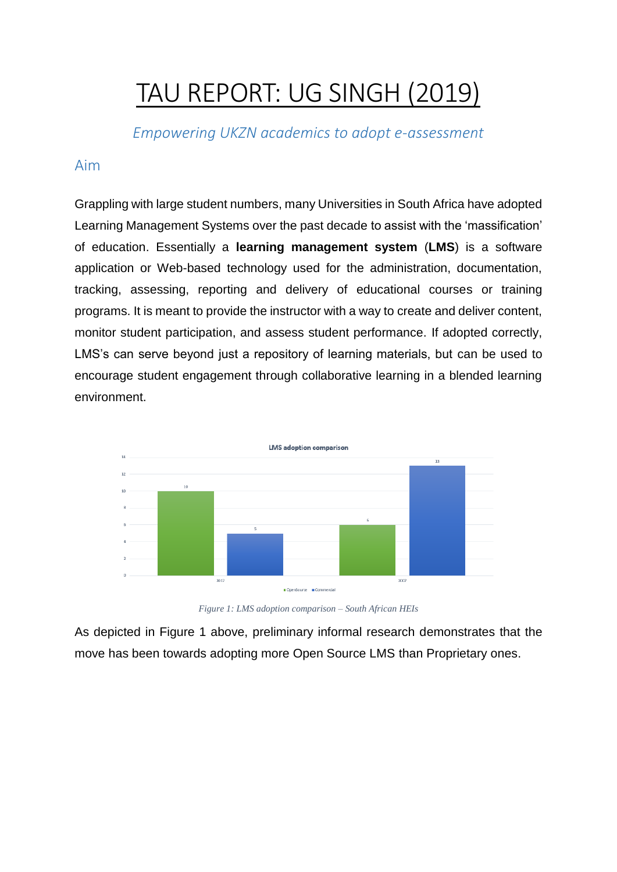# TAU REPORT: UG SINGH (2019)

*Empowering UKZN academics to adopt e-assessment*

# Aim

Grappling with large student numbers, many Universities in South Africa have adopted Learning Management Systems over the past decade to assist with the 'massification' of education. Essentially a **learning management system** (**LMS**) is a software application or Web-based technology used for the administration, documentation, tracking, assessing, reporting and delivery of educational courses or training programs. It is meant to provide the instructor with a way to create and deliver content, monitor student participation, and assess student performance. If adopted correctly, LMS's can serve beyond just a repository of learning materials, but can be used to encourage student engagement through collaborative learning in a blended learning environment.



*Figure 1: LMS adoption comparison – South African HEIs*

As depicted in Figure 1 above, preliminary informal research demonstrates that the move has been towards adopting more Open Source LMS than Proprietary ones.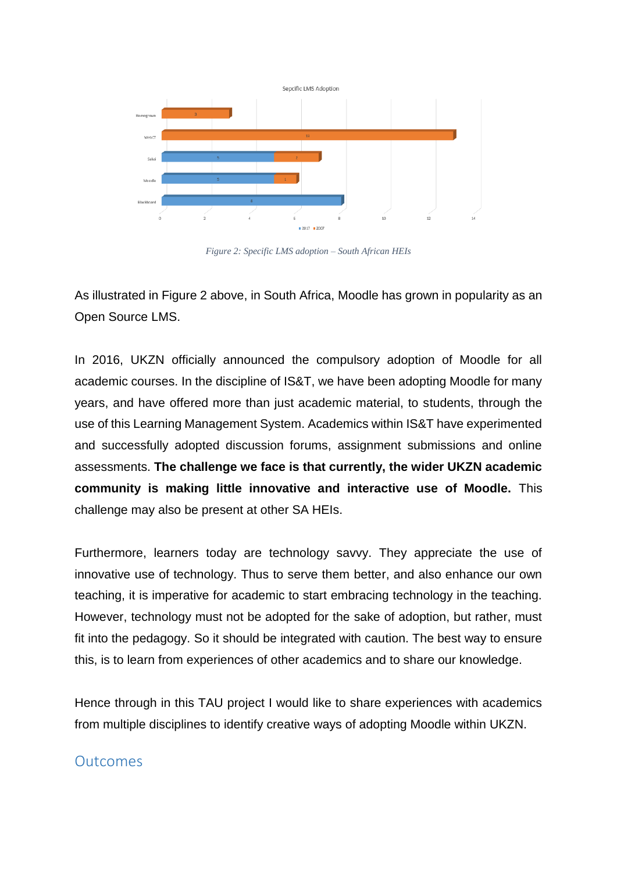

*Figure 2: Specific LMS adoption – South African HEIs*

As illustrated in Figure 2 above, in South Africa, Moodle has grown in popularity as an Open Source LMS.

In 2016, UKZN officially announced the compulsory adoption of Moodle for all academic courses. In the discipline of IS&T, we have been adopting Moodle for many years, and have offered more than just academic material, to students, through the use of this Learning Management System. Academics within IS&T have experimented and successfully adopted discussion forums, assignment submissions and online assessments. **The challenge we face is that currently, the wider UKZN academic community is making little innovative and interactive use of Moodle.** This challenge may also be present at other SA HEIs.

Furthermore, learners today are technology savvy. They appreciate the use of innovative use of technology. Thus to serve them better, and also enhance our own teaching, it is imperative for academic to start embracing technology in the teaching. However, technology must not be adopted for the sake of adoption, but rather, must fit into the pedagogy. So it should be integrated with caution. The best way to ensure this, is to learn from experiences of other academics and to share our knowledge.

Hence through in this TAU project I would like to share experiences with academics from multiple disciplines to identify creative ways of adopting Moodle within UKZN.

## **Outcomes**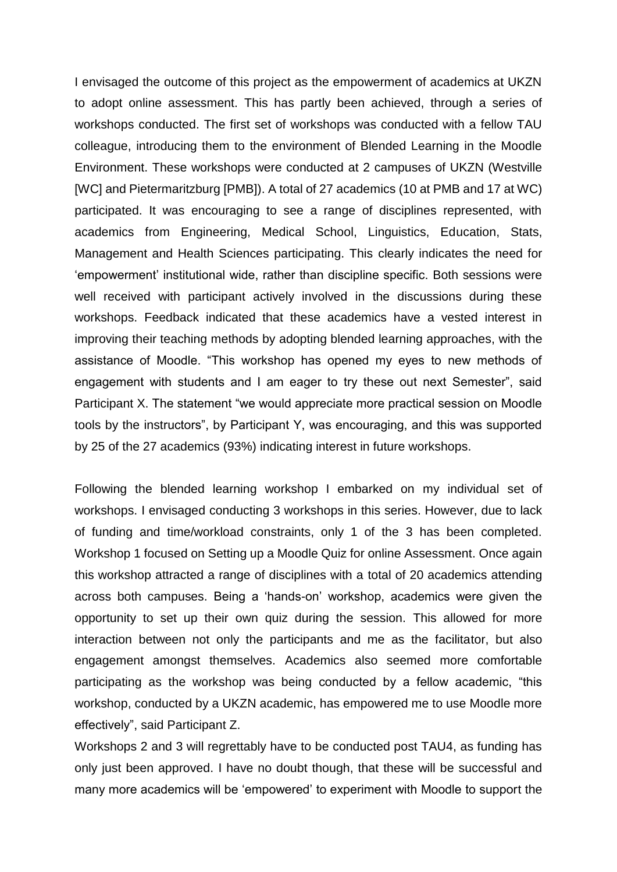I envisaged the outcome of this project as the empowerment of academics at UKZN to adopt online assessment. This has partly been achieved, through a series of workshops conducted. The first set of workshops was conducted with a fellow TAU colleague, introducing them to the environment of Blended Learning in the Moodle Environment. These workshops were conducted at 2 campuses of UKZN (Westville [WC] and Pietermaritzburg [PMB]). A total of 27 academics (10 at PMB and 17 at WC) participated. It was encouraging to see a range of disciplines represented, with academics from Engineering, Medical School, Linguistics, Education, Stats, Management and Health Sciences participating. This clearly indicates the need for 'empowerment' institutional wide, rather than discipline specific. Both sessions were well received with participant actively involved in the discussions during these workshops. Feedback indicated that these academics have a vested interest in improving their teaching methods by adopting blended learning approaches, with the assistance of Moodle. "This workshop has opened my eyes to new methods of engagement with students and I am eager to try these out next Semester", said Participant X. The statement "we would appreciate more practical session on Moodle tools by the instructors", by Participant Y, was encouraging, and this was supported by 25 of the 27 academics (93%) indicating interest in future workshops.

Following the blended learning workshop I embarked on my individual set of workshops. I envisaged conducting 3 workshops in this series. However, due to lack of funding and time/workload constraints, only 1 of the 3 has been completed. Workshop 1 focused on Setting up a Moodle Quiz for online Assessment. Once again this workshop attracted a range of disciplines with a total of 20 academics attending across both campuses. Being a 'hands-on' workshop, academics were given the opportunity to set up their own quiz during the session. This allowed for more interaction between not only the participants and me as the facilitator, but also engagement amongst themselves. Academics also seemed more comfortable participating as the workshop was being conducted by a fellow academic, "this workshop, conducted by a UKZN academic, has empowered me to use Moodle more effectively", said Participant Z.

Workshops 2 and 3 will regrettably have to be conducted post TAU4, as funding has only just been approved. I have no doubt though, that these will be successful and many more academics will be 'empowered' to experiment with Moodle to support the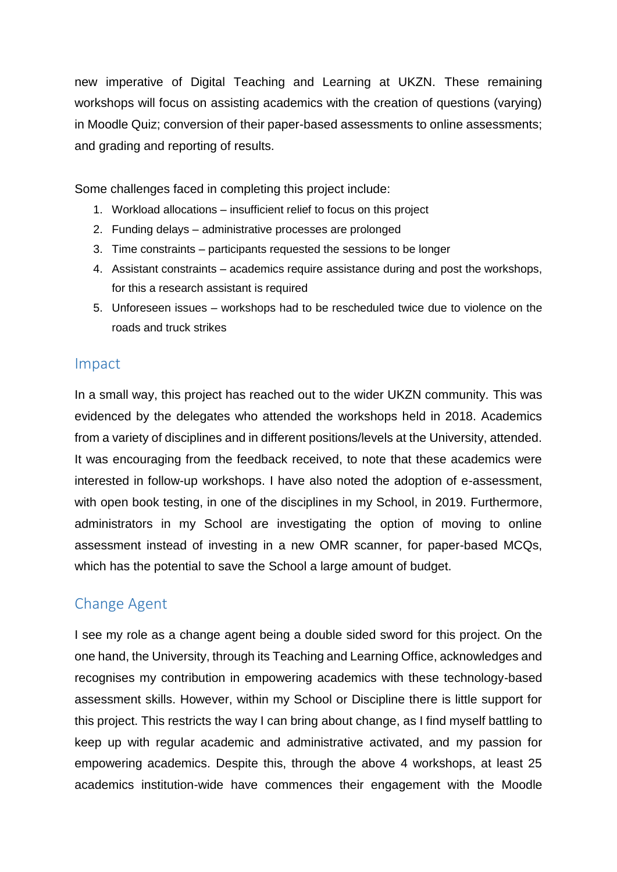new imperative of Digital Teaching and Learning at UKZN. These remaining workshops will focus on assisting academics with the creation of questions (varying) in Moodle Quiz; conversion of their paper-based assessments to online assessments; and grading and reporting of results.

Some challenges faced in completing this project include:

- 1. Workload allocations insufficient relief to focus on this project
- 2. Funding delays administrative processes are prolonged
- 3. Time constraints participants requested the sessions to be longer
- 4. Assistant constraints academics require assistance during and post the workshops, for this a research assistant is required
- 5. Unforeseen issues workshops had to be rescheduled twice due to violence on the roads and truck strikes

#### Impact

In a small way, this project has reached out to the wider UKZN community. This was evidenced by the delegates who attended the workshops held in 2018. Academics from a variety of disciplines and in different positions/levels at the University, attended. It was encouraging from the feedback received, to note that these academics were interested in follow-up workshops. I have also noted the adoption of e-assessment, with open book testing, in one of the disciplines in my School, in 2019. Furthermore, administrators in my School are investigating the option of moving to online assessment instead of investing in a new OMR scanner, for paper-based MCQs, which has the potential to save the School a large amount of budget.

# Change Agent

I see my role as a change agent being a double sided sword for this project. On the one hand, the University, through its Teaching and Learning Office, acknowledges and recognises my contribution in empowering academics with these technology-based assessment skills. However, within my School or Discipline there is little support for this project. This restricts the way I can bring about change, as I find myself battling to keep up with regular academic and administrative activated, and my passion for empowering academics. Despite this, through the above 4 workshops, at least 25 academics institution-wide have commences their engagement with the Moodle